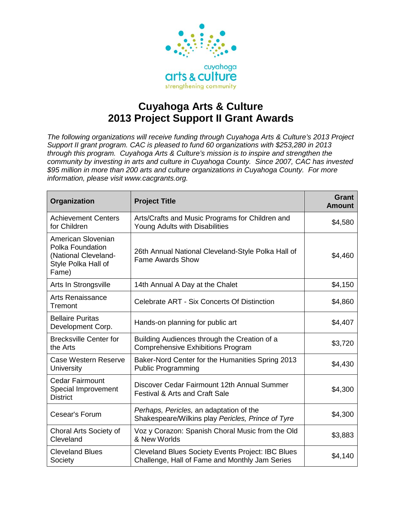

## **Cuyahoga Arts & Culture 2013 Project Support II Grant Awards**

*The following organizations will receive funding through Cuyahoga Arts & Culture's 2013 Project Support II grant program. CAC is pleased to fund 60 organizations with \$253,280 in 2013 through this program. Cuyahoga Arts & Culture's mission is to inspire and strengthen the community by investing in arts and culture in Cuyahoga County. Since 2007, CAC has invested \$95 million in more than 200 arts and culture organizations in Cuyahoga County. For more information, please visit www.cacgrants.org.*

| Organization                                                                                   | <b>Project Title</b>                                                                                       | Grant<br><b>Amount</b> |
|------------------------------------------------------------------------------------------------|------------------------------------------------------------------------------------------------------------|------------------------|
| <b>Achievement Centers</b><br>for Children                                                     | Arts/Crafts and Music Programs for Children and<br>Young Adults with Disabilities                          | \$4,580                |
| American Slovenian<br>Polka Foundation<br>(National Cleveland-<br>Style Polka Hall of<br>Fame) | 26th Annual National Cleveland-Style Polka Hall of<br><b>Fame Awards Show</b>                              | \$4,460                |
| Arts In Strongsville                                                                           | 14th Annual A Day at the Chalet                                                                            | \$4,150                |
| <b>Arts Renaissance</b><br>Tremont                                                             | Celebrate ART - Six Concerts Of Distinction                                                                | \$4,860                |
| <b>Bellaire Puritas</b><br>Development Corp.                                                   | Hands-on planning for public art                                                                           | \$4,407                |
| <b>Brecksville Center for</b><br>the Arts                                                      | Building Audiences through the Creation of a<br><b>Comprehensive Exhibitions Program</b>                   | \$3,720                |
| <b>Case Western Reserve</b><br><b>University</b>                                               | Baker-Nord Center for the Humanities Spring 2013<br><b>Public Programming</b>                              | \$4,430                |
| <b>Cedar Fairmount</b><br>Special Improvement<br><b>District</b>                               | Discover Cedar Fairmount 12th Annual Summer<br><b>Festival &amp; Arts and Craft Sale</b>                   | \$4,300                |
| Cesear's Forum                                                                                 | Perhaps, Pericles, an adaptation of the<br>Shakespeare/Wilkins play Pericles, Prince of Tyre               | \$4,300                |
| Choral Arts Society of<br>Cleveland                                                            | Voz y Corazon: Spanish Choral Music from the Old<br>& New Worlds                                           | \$3,883                |
| <b>Cleveland Blues</b><br>Society                                                              | <b>Cleveland Blues Society Events Project: IBC Blues</b><br>Challenge, Hall of Fame and Monthly Jam Series | \$4,140                |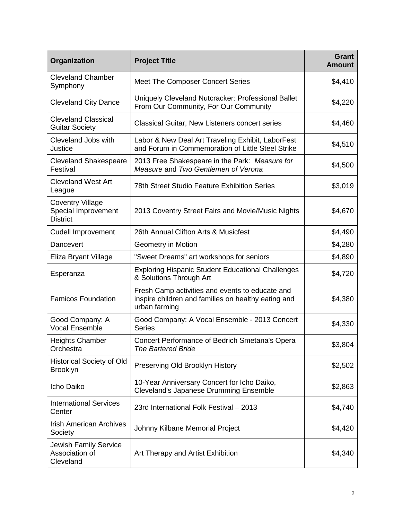| Organization                                                      | <b>Project Title</b>                                                                                                    | <b>Grant</b><br><b>Amount</b> |
|-------------------------------------------------------------------|-------------------------------------------------------------------------------------------------------------------------|-------------------------------|
| <b>Cleveland Chamber</b><br>Symphony                              | Meet The Composer Concert Series                                                                                        | \$4,410                       |
| <b>Cleveland City Dance</b>                                       | Uniquely Cleveland Nutcracker: Professional Ballet<br>From Our Community, For Our Community                             | \$4,220                       |
| <b>Cleveland Classical</b><br><b>Guitar Society</b>               | <b>Classical Guitar, New Listeners concert series</b>                                                                   | \$4,460                       |
| Cleveland Jobs with<br>Justice                                    | Labor & New Deal Art Traveling Exhibit, LaborFest<br>and Forum in Commemoration of Little Steel Strike                  | \$4,510                       |
| <b>Cleveland Shakespeare</b><br>Festival                          | 2013 Free Shakespeare in the Park: Measure for<br>Measure and Two Gentlemen of Verona                                   | \$4,500                       |
| <b>Cleveland West Art</b><br>League                               | <b>78th Street Studio Feature Exhibition Series</b>                                                                     | \$3,019                       |
| <b>Coventry Village</b><br>Special Improvement<br><b>District</b> | 2013 Coventry Street Fairs and Movie/Music Nights                                                                       | \$4,670                       |
| <b>Cudell Improvement</b>                                         | 26th Annual Clifton Arts & Musicfest                                                                                    | \$4,490                       |
| Dancevert                                                         | Geometry in Motion                                                                                                      | \$4,280                       |
| Eliza Bryant Village                                              | "Sweet Dreams" art workshops for seniors                                                                                | \$4,890                       |
| Esperanza                                                         | <b>Exploring Hispanic Student Educational Challenges</b><br>& Solutions Through Art                                     | \$4,720                       |
| <b>Famicos Foundation</b>                                         | Fresh Camp activities and events to educate and<br>inspire children and families on healthy eating and<br>urban farming | \$4,380                       |
| Good Company: A<br><b>Vocal Ensemble</b>                          | Good Company: A Vocal Ensemble - 2013 Concert<br><b>Series</b>                                                          | \$4,330                       |
| <b>Heights Chamber</b><br>Orchestra                               | Concert Performance of Bedrich Smetana's Opera<br><b>The Bartered Bride</b>                                             | \$3,804                       |
| <b>Historical Society of Old</b><br><b>Brooklyn</b>               | Preserving Old Brooklyn History                                                                                         | \$2,502                       |
| Icho Daiko                                                        | 10-Year Anniversary Concert for Icho Daiko,<br><b>Cleveland's Japanese Drumming Ensemble</b>                            | \$2,863                       |
| <b>International Services</b><br>Center                           | 23rd International Folk Festival - 2013                                                                                 | \$4,740                       |
| <b>Irish American Archives</b><br>Society                         | Johnny Kilbane Memorial Project                                                                                         | \$4,420                       |
| <b>Jewish Family Service</b><br>Association of<br>Cleveland       | Art Therapy and Artist Exhibition                                                                                       | \$4,340                       |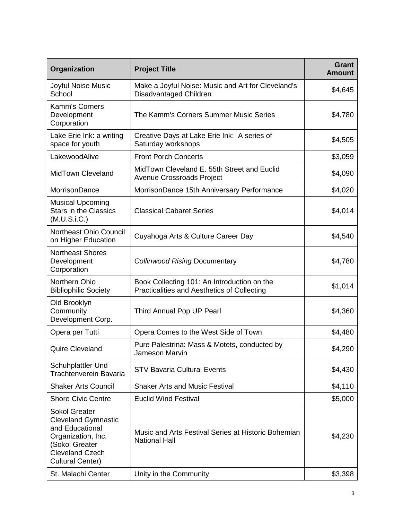| Organization                                                                                                                                                       | <b>Project Title</b>                                                                       | <b>Grant</b><br><b>Amount</b> |
|--------------------------------------------------------------------------------------------------------------------------------------------------------------------|--------------------------------------------------------------------------------------------|-------------------------------|
| Joyful Noise Music<br>School                                                                                                                                       | Make a Joyful Noise: Music and Art for Cleveland's<br>Disadvantaged Children               | \$4,645                       |
| Kamm's Corners<br>Development<br>Corporation                                                                                                                       | The Kamm's Corners Summer Music Series                                                     | \$4,780                       |
| Lake Erie Ink: a writing<br>space for youth                                                                                                                        | Creative Days at Lake Erie Ink: A series of<br>Saturday workshops                          | \$4,505                       |
| LakewoodAlive                                                                                                                                                      | <b>Front Porch Concerts</b>                                                                | \$3,059                       |
| <b>MidTown Cleveland</b>                                                                                                                                           | MidTown Cleveland E. 55th Street and Euclid<br>Avenue Crossroads Project                   | \$4,090                       |
| <b>MorrisonDance</b>                                                                                                                                               | MorrisonDance 15th Anniversary Performance                                                 | \$4,020                       |
| <b>Musical Upcoming</b><br><b>Stars in the Classics</b><br>(M.U.S.i.C.)                                                                                            | <b>Classical Cabaret Series</b>                                                            | \$4,014                       |
| <b>Northeast Ohio Council</b><br>on Higher Education                                                                                                               | Cuyahoga Arts & Culture Career Day                                                         | \$4,540                       |
| <b>Northeast Shores</b><br>Development<br>Corporation                                                                                                              | <b>Collinwood Rising Documentary</b>                                                       | \$4,780                       |
| Northern Ohio<br><b>Bibliophilic Society</b>                                                                                                                       | Book Collecting 101: An Introduction on the<br>Practicalities and Aesthetics of Collecting | \$1,014                       |
| Old Brooklyn<br>Community<br>Development Corp.                                                                                                                     | Third Annual Pop UP Pearl                                                                  | \$4,360                       |
| Opera per Tutti                                                                                                                                                    | Opera Comes to the West Side of Town                                                       | \$4,480                       |
| Quire Cleveland                                                                                                                                                    | Pure Palestrina: Mass & Motets, conducted by<br>Jameson Marvin                             | \$4,290                       |
| <b>Schuhplattler Und</b><br><b>Trachtenverein Bavaria</b>                                                                                                          | <b>STV Bavaria Cultural Events</b>                                                         | \$4,430                       |
| <b>Shaker Arts Council</b>                                                                                                                                         | <b>Shaker Arts and Music Festival</b>                                                      | \$4,110                       |
| <b>Shore Civic Centre</b>                                                                                                                                          | <b>Euclid Wind Festival</b>                                                                | \$5,000                       |
| <b>Sokol Greater</b><br><b>Cleveland Gymnastic</b><br>and Educational<br>Organization, Inc.<br>(Sokol Greater<br><b>Cleveland Czech</b><br><b>Cultural Center)</b> | Music and Arts Festival Series at Historic Bohemian<br><b>National Hall</b>                | \$4,230                       |
| St. Malachi Center                                                                                                                                                 | Unity in the Community                                                                     | \$3,398                       |